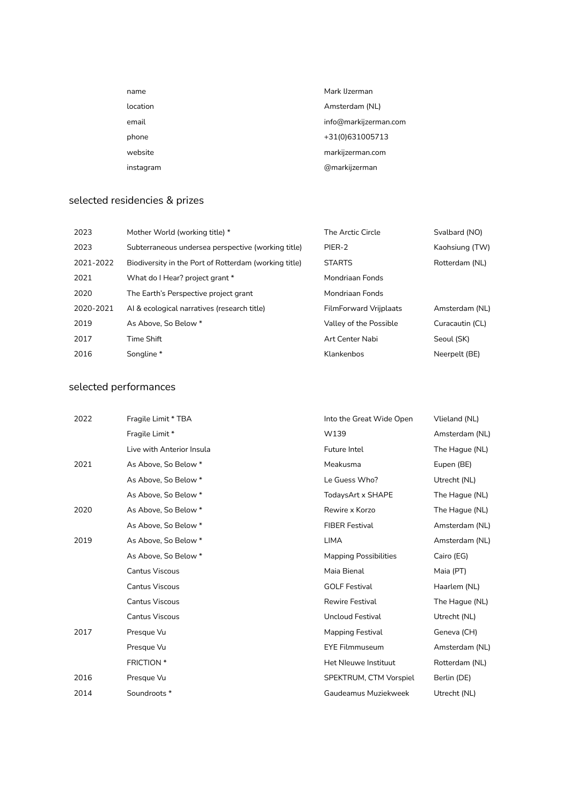| name      | Mark IJzerman         |
|-----------|-----------------------|
| location  | Amsterdam (NL)        |
| email     | info@markijzerman.com |
| phone     | +31(0)631005713       |
| website   | markijzerman.com      |
| instagram | @markijzerman         |

# selected residencies & prizes

| 2023      | Mother World (working title) *                        | The Arctic Circle             | Svalbard (NO)   |
|-----------|-------------------------------------------------------|-------------------------------|-----------------|
| 2023      | Subterraneous undersea perspective (working title)    | PIER-2                        | Kaohsiung (TW)  |
| 2021-2022 | Biodiversity in the Port of Rotterdam (working title) | <b>STARTS</b>                 | Rotterdam (NL)  |
| 2021      | What do I Hear? project grant *                       | Mondriaan Fonds               |                 |
| 2020      | The Earth's Perspective project grant                 | Mondriaan Fonds               |                 |
| 2020-2021 | Al & ecological narratives (research title)           | <b>FilmForward Vrijplaats</b> | Amsterdam (NL)  |
| 2019      | As Above. So Below *                                  | Valley of the Possible        | Curacautin (CL) |
| 2017      | Time Shift                                            | Art Center Nabi               | Seoul (SK)      |
| 2016      | Songline *                                            | Klankenbos                    | Neerpelt (BE)   |

### selected performances

| 2022 | Fragile Limit * TBA       | Into the Great Wide Open     | Vlieland (NL)  |
|------|---------------------------|------------------------------|----------------|
|      | Fragile Limit *           | W139                         | Amsterdam (NL) |
|      | Live with Anterior Insula | Future Intel                 | The Haque (NL) |
| 2021 | As Above, So Below *      | Meakusma                     | Eupen (BE)     |
|      | As Above, So Below *      | Le Guess Who?                | Utrecht (NL)   |
|      | As Above, So Below *      | TodaysArt x SHAPE            | The Hague (NL) |
| 2020 | As Above, So Below *      | Rewire x Korzo               | The Hague (NL) |
|      | As Above, So Below *      | <b>FIBER Festival</b>        | Amsterdam (NL) |
| 2019 | As Above, So Below *      | <b>LIMA</b>                  | Amsterdam (NL) |
|      | As Above, So Below *      | <b>Mapping Possibilities</b> | Cairo (EG)     |
|      | <b>Cantus Viscous</b>     | Maia Bienal                  | Maia (PT)      |
|      | <b>Cantus Viscous</b>     | <b>GOLF Festival</b>         | Haarlem (NL)   |
|      | <b>Cantus Viscous</b>     | <b>Rewire Festival</b>       | The Hague (NL) |
|      | <b>Cantus Viscous</b>     | <b>Uncloud Festival</b>      | Utrecht (NL)   |
| 2017 | Presque Vu                | Mapping Festival             | Geneva (CH)    |
|      | Presque Vu                | <b>EYE Filmmuseum</b>        | Amsterdam (NL) |
|      | <b>FRICTION</b> *         | Het Nleuwe Instituut         | Rotterdam (NL) |
| 2016 | Presque Vu                | SPEKTRUM, CTM Vorspiel       | Berlin (DE)    |
| 2014 | Soundroots *              | Gaudeamus Muziekweek         | Utrecht (NL)   |